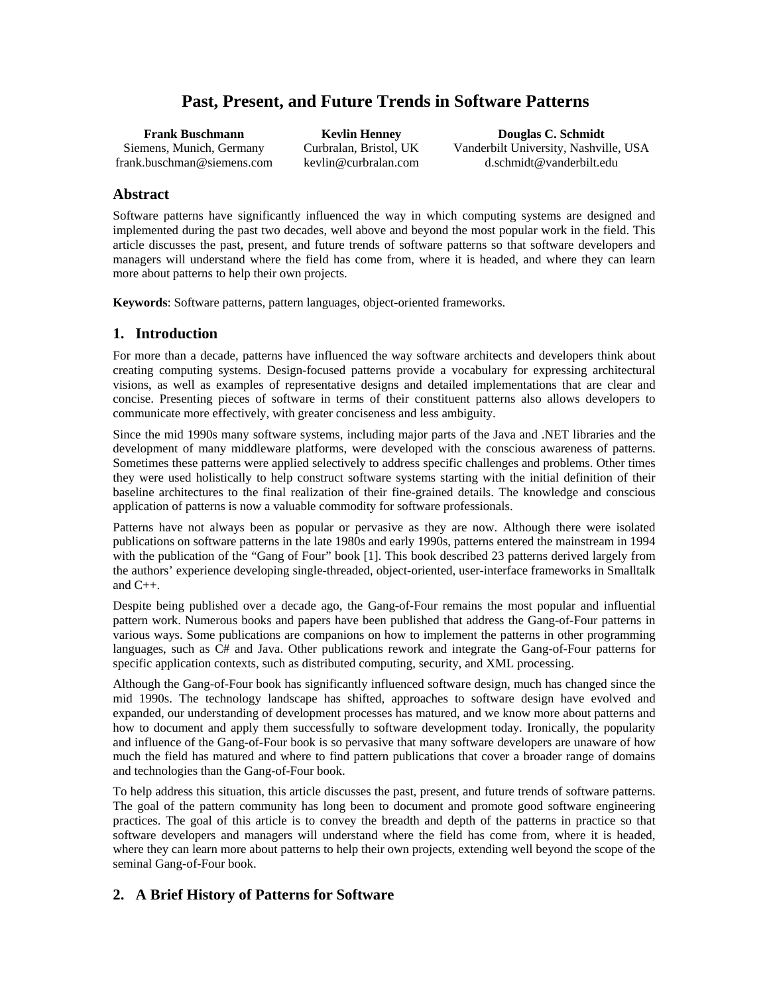# **Past, Present, and Future Trends in Software Patterns**

**Frank Buschmann**  Siemens, Munich, Germany frank.buschman@siemens.com

**Kevlin Henney**  Curbralan, Bristol, UK kevlin@curbralan.com

**Douglas C. Schmidt**  Vanderbilt University, Nashville, USA d.schmidt@vanderbilt.edu

# **Abstract**

Software patterns have significantly influenced the way in which computing systems are designed and implemented during the past two decades, well above and beyond the most popular work in the field. This article discusses the past, present, and future trends of software patterns so that software developers and managers will understand where the field has come from, where it is headed, and where they can learn more about patterns to help their own projects.

**Keywords**: Software patterns, pattern languages, object-oriented frameworks.

# **1. Introduction**

For more than a decade, patterns have influenced the way software architects and developers think about creating computing systems. Design-focused patterns provide a vocabulary for expressing architectural visions, as well as examples of representative designs and detailed implementations that are clear and concise. Presenting pieces of software in terms of their constituent patterns also allows developers to communicate more effectively, with greater conciseness and less ambiguity.

Since the mid 1990s many software systems, including major parts of the Java and .NET libraries and the development of many middleware platforms, were developed with the conscious awareness of patterns. Sometimes these patterns were applied selectively to address specific challenges and problems. Other times they were used holistically to help construct software systems starting with the initial definition of their baseline architectures to the final realization of their fine-grained details. The knowledge and conscious application of patterns is now a valuable commodity for software professionals.

Patterns have not always been as popular or pervasive as they are now. Although there were isolated publications on software patterns in the late 1980s and early 1990s, patterns entered the mainstream in 1994 with the publication of the "Gang of Four" book [1]. This book described 23 patterns derived largely from the authors' experience developing single-threaded, object-oriented, user-interface frameworks in Smalltalk and  $C_{++}$ .

Despite being published over a decade ago, the Gang-of-Four remains the most popular and influential pattern work. Numerous books and papers have been published that address the Gang-of-Four patterns in various ways. Some publications are companions on how to implement the patterns in other programming languages, such as C# and Java. Other publications rework and integrate the Gang-of-Four patterns for specific application contexts, such as distributed computing, security, and XML processing.

Although the Gang-of-Four book has significantly influenced software design, much has changed since the mid 1990s. The technology landscape has shifted, approaches to software design have evolved and expanded, our understanding of development processes has matured, and we know more about patterns and how to document and apply them successfully to software development today. Ironically, the popularity and influence of the Gang-of-Four book is so pervasive that many software developers are unaware of how much the field has matured and where to find pattern publications that cover a broader range of domains and technologies than the Gang-of-Four book.

To help address this situation, this article discusses the past, present, and future trends of software patterns. The goal of the pattern community has long been to document and promote good software engineering practices. The goal of this article is to convey the breadth and depth of the patterns in practice so that software developers and managers will understand where the field has come from, where it is headed, where they can learn more about patterns to help their own projects, extending well beyond the scope of the seminal Gang-of-Four book.

# **2. A Brief History of Patterns for Software**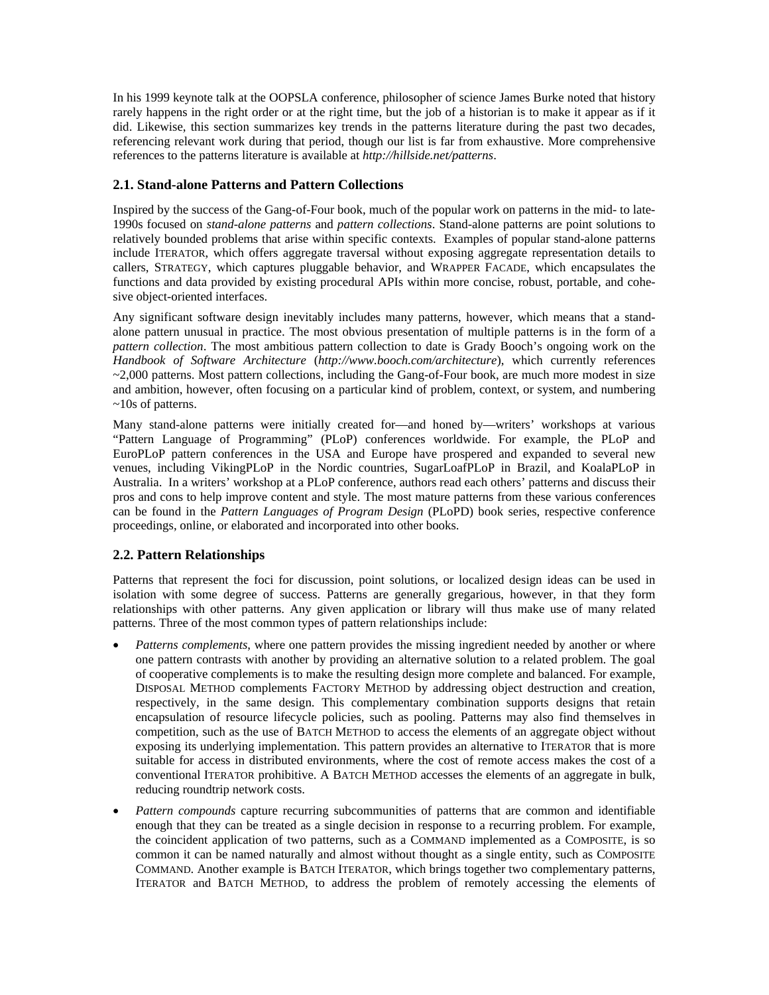In his 1999 keynote talk at the OOPSLA conference, philosopher of science James Burke noted that history rarely happens in the right order or at the right time, but the job of a historian is to make it appear as if it did. Likewise, this section summarizes key trends in the patterns literature during the past two decades, referencing relevant work during that period, though our list is far from exhaustive. More comprehensive references to the patterns literature is available at *http://hillside.net/patterns*.

#### **2.1. Stand-alone Patterns and Pattern Collections**

Inspired by the success of the Gang-of-Four book, much of the popular work on patterns in the mid- to late-1990s focused on *stand-alone patterns* and *pattern collections*. Stand-alone patterns are point solutions to relatively bounded problems that arise within specific contexts. Examples of popular stand-alone patterns include ITERATOR, which offers aggregate traversal without exposing aggregate representation details to callers, STRATEGY, which captures pluggable behavior, and WRAPPER FACADE, which encapsulates the functions and data provided by existing procedural APIs within more concise, robust, portable, and cohesive object-oriented interfaces.

Any significant software design inevitably includes many patterns, however, which means that a standalone pattern unusual in practice. The most obvious presentation of multiple patterns is in the form of a *pattern collection*. The most ambitious pattern collection to date is Grady Booch's ongoing work on the *Handbook of Software Architecture* (*http://www.booch.com/architecture*), which currently references  $\sim$ 2,000 patterns. Most pattern collections, including the Gang-of-Four book, are much more modest in size and ambition, however, often focusing on a particular kind of problem, context, or system, and numbering ~10s of patterns.

Many stand-alone patterns were initially created for—and honed by—writers' workshops at various "Pattern Language of Programming" (PLoP) conferences worldwide. For example, the PLoP and EuroPLoP pattern conferences in the USA and Europe have prospered and expanded to several new venues, including VikingPLoP in the Nordic countries, SugarLoafPLoP in Brazil, and KoalaPLoP in Australia. In a writers' workshop at a PLoP conference, authors read each others' patterns and discuss their pros and cons to help improve content and style. The most mature patterns from these various conferences can be found in the *Pattern Languages of Program Design* (PLoPD) book series, respective conference proceedings, online, or elaborated and incorporated into other books.

# **2.2. Pattern Relationships**

Patterns that represent the foci for discussion, point solutions, or localized design ideas can be used in isolation with some degree of success. Patterns are generally gregarious, however, in that they form relationships with other patterns. Any given application or library will thus make use of many related patterns. Three of the most common types of pattern relationships include:

- *Patterns complements*, where one pattern provides the missing ingredient needed by another or where one pattern contrasts with another by providing an alternative solution to a related problem. The goal of cooperative complements is to make the resulting design more complete and balanced. For example, DISPOSAL METHOD complements FACTORY METHOD by addressing object destruction and creation, respectively, in the same design. This complementary combination supports designs that retain encapsulation of resource lifecycle policies, such as pooling. Patterns may also find themselves in competition, such as the use of BATCH METHOD to access the elements of an aggregate object without exposing its underlying implementation. This pattern provides an alternative to ITERATOR that is more suitable for access in distributed environments, where the cost of remote access makes the cost of a conventional ITERATOR prohibitive. A BATCH METHOD accesses the elements of an aggregate in bulk, reducing roundtrip network costs.
- *Pattern compounds* capture recurring subcommunities of patterns that are common and identifiable enough that they can be treated as a single decision in response to a recurring problem. For example, the coincident application of two patterns, such as a COMMAND implemented as a COMPOSITE, is so common it can be named naturally and almost without thought as a single entity, such as COMPOSITE COMMAND. Another example is BATCH ITERATOR, which brings together two complementary patterns, ITERATOR and BATCH METHOD, to address the problem of remotely accessing the elements of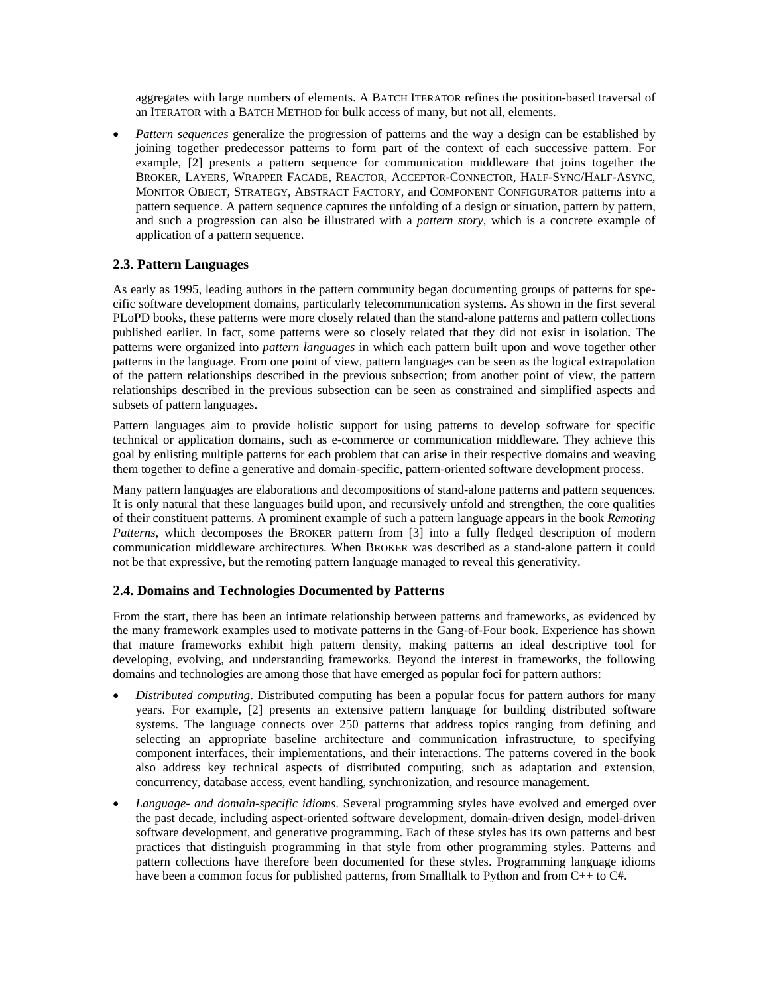aggregates with large numbers of elements. A BATCH ITERATOR refines the position-based traversal of an ITERATOR with a BATCH METHOD for bulk access of many, but not all, elements.

• *Pattern sequences* generalize the progression of patterns and the way a design can be established by joining together predecessor patterns to form part of the context of each successive pattern. For example, [2] presents a pattern sequence for communication middleware that joins together the BROKER, LAYERS, WRAPPER FACADE, REACTOR, ACCEPTOR-CONNECTOR, HALF-SYNC/HALF-ASYNC, MONITOR OBJECT, STRATEGY, ABSTRACT FACTORY, and COMPONENT CONFIGURATOR patterns into a pattern sequence. A pattern sequence captures the unfolding of a design or situation, pattern by pattern, and such a progression can also be illustrated with a *pattern story*, which is a concrete example of application of a pattern sequence.

#### **2.3. Pattern Languages**

As early as 1995, leading authors in the pattern community began documenting groups of patterns for specific software development domains, particularly telecommunication systems. As shown in the first several PLoPD books, these patterns were more closely related than the stand-alone patterns and pattern collections published earlier. In fact, some patterns were so closely related that they did not exist in isolation. The patterns were organized into *pattern languages* in which each pattern built upon and wove together other patterns in the language. From one point of view, pattern languages can be seen as the logical extrapolation of the pattern relationships described in the previous subsection; from another point of view, the pattern relationships described in the previous subsection can be seen as constrained and simplified aspects and subsets of pattern languages.

Pattern languages aim to provide holistic support for using patterns to develop software for specific technical or application domains, such as e-commerce or communication middleware. They achieve this goal by enlisting multiple patterns for each problem that can arise in their respective domains and weaving them together to define a generative and domain-specific, pattern-oriented software development process.

Many pattern languages are elaborations and decompositions of stand-alone patterns and pattern sequences. It is only natural that these languages build upon, and recursively unfold and strengthen, the core qualities of their constituent patterns. A prominent example of such a pattern language appears in the book *Remoting Patterns*, which decomposes the BROKER pattern from [3] into a fully fledged description of modern communication middleware architectures. When BROKER was described as a stand-alone pattern it could not be that expressive, but the remoting pattern language managed to reveal this generativity.

# **2.4. Domains and Technologies Documented by Patterns**

From the start, there has been an intimate relationship between patterns and frameworks, as evidenced by the many framework examples used to motivate patterns in the Gang-of-Four book. Experience has shown that mature frameworks exhibit high pattern density, making patterns an ideal descriptive tool for developing, evolving, and understanding frameworks. Beyond the interest in frameworks, the following domains and technologies are among those that have emerged as popular foci for pattern authors:

- *Distributed computing*. Distributed computing has been a popular focus for pattern authors for many years. For example, [2] presents an extensive pattern language for building distributed software systems. The language connects over 250 patterns that address topics ranging from defining and selecting an appropriate baseline architecture and communication infrastructure, to specifying component interfaces, their implementations, and their interactions. The patterns covered in the book also address key technical aspects of distributed computing, such as adaptation and extension, concurrency, database access, event handling, synchronization, and resource management.
- *Language- and domain-specific idioms*. Several programming styles have evolved and emerged over the past decade, including aspect-oriented software development, domain-driven design, model-driven software development, and generative programming. Each of these styles has its own patterns and best practices that distinguish programming in that style from other programming styles. Patterns and pattern collections have therefore been documented for these styles. Programming language idioms have been a common focus for published patterns, from Smalltalk to Python and from C++ to C#.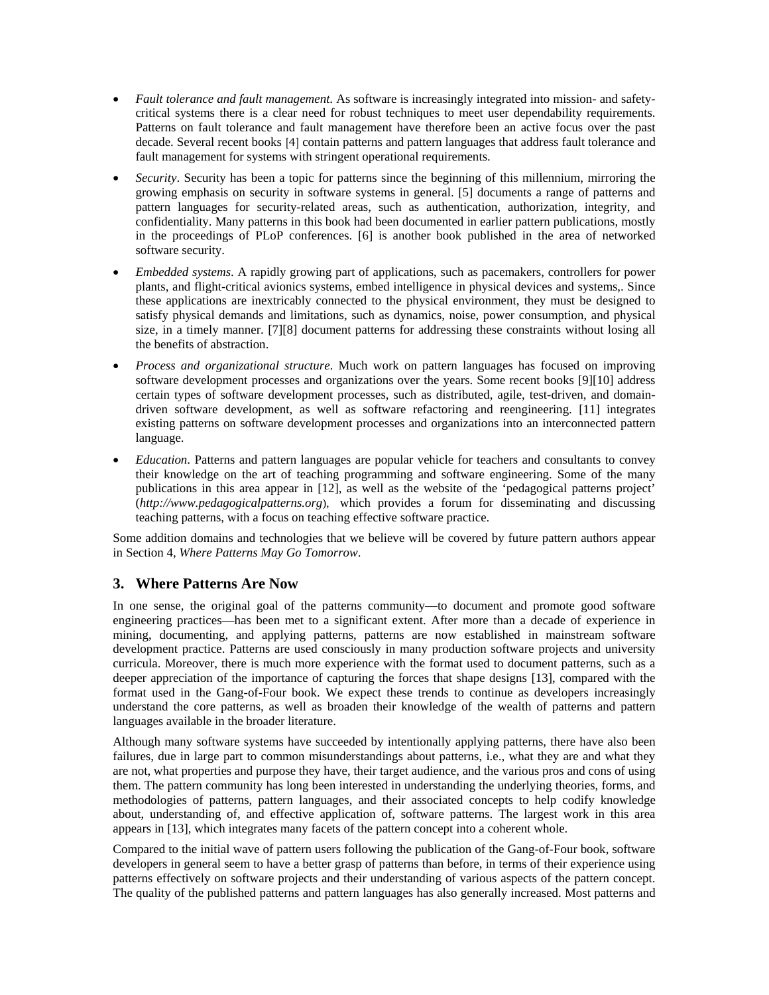- *Fault tolerance and fault management*. As software is increasingly integrated into mission- and safetycritical systems there is a clear need for robust techniques to meet user dependability requirements. Patterns on fault tolerance and fault management have therefore been an active focus over the past decade. Several recent books [4] contain patterns and pattern languages that address fault tolerance and fault management for systems with stringent operational requirements.
- *Security*. Security has been a topic for patterns since the beginning of this millennium, mirroring the growing emphasis on security in software systems in general. [5] documents a range of patterns and pattern languages for security-related areas, such as authentication, authorization, integrity, and confidentiality. Many patterns in this book had been documented in earlier pattern publications, mostly in the proceedings of PLoP conferences. [6] is another book published in the area of networked software security.
- *Embedded systems*. A rapidly growing part of applications, such as pacemakers, controllers for power plants, and flight-critical avionics systems, embed intelligence in physical devices and systems,. Since these applications are inextricably connected to the physical environment, they must be designed to satisfy physical demands and limitations, such as dynamics, noise, power consumption, and physical size, in a timely manner. [7][8] document patterns for addressing these constraints without losing all the benefits of abstraction.
- *Process and organizational structure*. Much work on pattern languages has focused on improving software development processes and organizations over the years. Some recent books [9][10] address certain types of software development processes, such as distributed, agile, test-driven, and domaindriven software development, as well as software refactoring and reengineering. [11] integrates existing patterns on software development processes and organizations into an interconnected pattern language.
- *Education*. Patterns and pattern languages are popular vehicle for teachers and consultants to convey their knowledge on the art of teaching programming and software engineering. Some of the many publications in this area appear in [12], as well as the website of the 'pedagogical patterns project' (*http://www.pedagogicalpatterns.org*), which provides a forum for disseminating and discussing teaching patterns, with a focus on teaching effective software practice.

Some addition domains and technologies that we believe will be covered by future pattern authors appear in Section 4, *Where Patterns May Go Tomorrow*.

# **3. Where Patterns Are Now**

In one sense, the original goal of the patterns community—to document and promote good software engineering practices—has been met to a significant extent. After more than a decade of experience in mining, documenting, and applying patterns, patterns are now established in mainstream software development practice. Patterns are used consciously in many production software projects and university curricula. Moreover, there is much more experience with the format used to document patterns, such as a deeper appreciation of the importance of capturing the forces that shape designs [13], compared with the format used in the Gang-of-Four book. We expect these trends to continue as developers increasingly understand the core patterns, as well as broaden their knowledge of the wealth of patterns and pattern languages available in the broader literature.

Although many software systems have succeeded by intentionally applying patterns, there have also been failures, due in large part to common misunderstandings about patterns, i.e., what they are and what they are not, what properties and purpose they have, their target audience, and the various pros and cons of using them. The pattern community has long been interested in understanding the underlying theories, forms, and methodologies of patterns, pattern languages, and their associated concepts to help codify knowledge about, understanding of, and effective application of, software patterns. The largest work in this area appears in [13], which integrates many facets of the pattern concept into a coherent whole.

Compared to the initial wave of pattern users following the publication of the Gang-of-Four book, software developers in general seem to have a better grasp of patterns than before, in terms of their experience using patterns effectively on software projects and their understanding of various aspects of the pattern concept. The quality of the published patterns and pattern languages has also generally increased. Most patterns and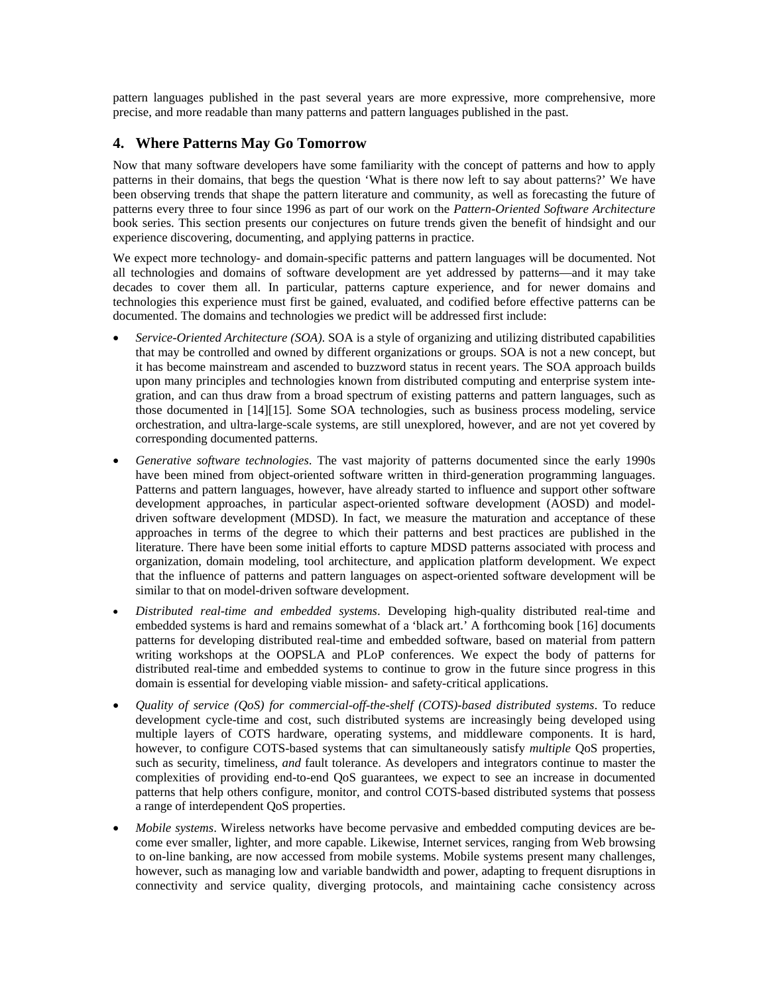pattern languages published in the past several years are more expressive, more comprehensive, more precise, and more readable than many patterns and pattern languages published in the past.

# **4. Where Patterns May Go Tomorrow**

Now that many software developers have some familiarity with the concept of patterns and how to apply patterns in their domains, that begs the question 'What is there now left to say about patterns?' We have been observing trends that shape the pattern literature and community, as well as forecasting the future of patterns every three to four since 1996 as part of our work on the *Pattern-Oriented Software Architecture* book series. This section presents our conjectures on future trends given the benefit of hindsight and our experience discovering, documenting, and applying patterns in practice.

We expect more technology- and domain-specific patterns and pattern languages will be documented. Not all technologies and domains of software development are yet addressed by patterns—and it may take decades to cover them all. In particular, patterns capture experience, and for newer domains and technologies this experience must first be gained, evaluated, and codified before effective patterns can be documented. The domains and technologies we predict will be addressed first include:

- *Service-Oriented Architecture (SOA)*. SOA is a style of organizing and utilizing distributed capabilities that may be controlled and owned by different organizations or groups. SOA is not a new concept, but it has become mainstream and ascended to buzzword status in recent years. The SOA approach builds upon many principles and technologies known from distributed computing and enterprise system integration, and can thus draw from a broad spectrum of existing patterns and pattern languages, such as those documented in [14][15]*.* Some SOA technologies, such as business process modeling, service orchestration, and ultra-large-scale systems, are still unexplored, however, and are not yet covered by corresponding documented patterns.
- *Generative software technologies*. The vast majority of patterns documented since the early 1990s have been mined from object-oriented software written in third-generation programming languages. Patterns and pattern languages, however, have already started to influence and support other software development approaches, in particular aspect-oriented software development (AOSD) and modeldriven software development (MDSD). In fact, we measure the maturation and acceptance of these approaches in terms of the degree to which their patterns and best practices are published in the literature. There have been some initial efforts to capture MDSD patterns associated with process and organization, domain modeling, tool architecture, and application platform development. We expect that the influence of patterns and pattern languages on aspect-oriented software development will be similar to that on model-driven software development.
- *Distributed real-time and embedded systems*. Developing high-quality distributed real-time and embedded systems is hard and remains somewhat of a 'black art.' A forthcoming book [16] documents patterns for developing distributed real-time and embedded software, based on material from pattern writing workshops at the OOPSLA and PLoP conferences. We expect the body of patterns for distributed real-time and embedded systems to continue to grow in the future since progress in this domain is essential for developing viable mission- and safety-critical applications.
- *Quality of service (QoS) for commercial-off-the-shelf (COTS)-based distributed systems*. To reduce development cycle-time and cost, such distributed systems are increasingly being developed using multiple layers of COTS hardware, operating systems, and middleware components. It is hard, however, to configure COTS-based systems that can simultaneously satisfy *multiple* QoS properties, such as security, timeliness, *and* fault tolerance. As developers and integrators continue to master the complexities of providing end-to-end QoS guarantees, we expect to see an increase in documented patterns that help others configure, monitor, and control COTS-based distributed systems that possess a range of interdependent QoS properties.
- *Mobile systems*. Wireless networks have become pervasive and embedded computing devices are become ever smaller, lighter, and more capable. Likewise, Internet services, ranging from Web browsing to on-line banking, are now accessed from mobile systems. Mobile systems present many challenges, however, such as managing low and variable bandwidth and power, adapting to frequent disruptions in connectivity and service quality, diverging protocols, and maintaining cache consistency across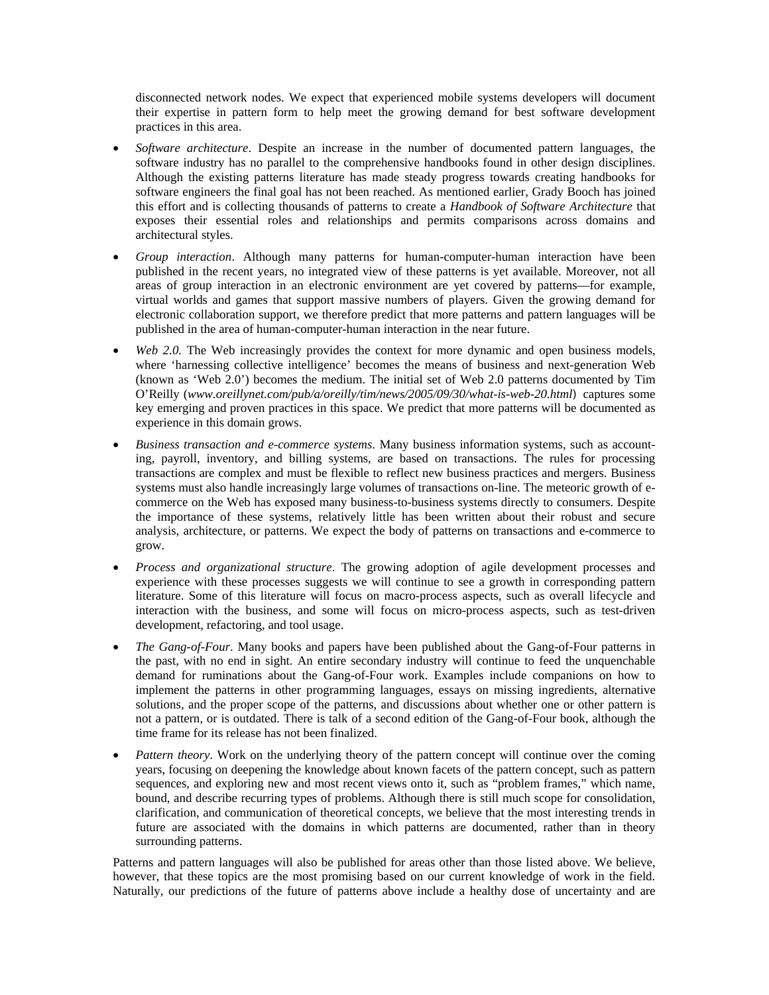disconnected network nodes. We expect that experienced mobile systems developers will document their expertise in pattern form to help meet the growing demand for best software development practices in this area.

- *Software architecture*. Despite an increase in the number of documented pattern languages, the software industry has no parallel to the comprehensive handbooks found in other design disciplines. Although the existing patterns literature has made steady progress towards creating handbooks for software engineers the final goal has not been reached. As mentioned earlier, Grady Booch has joined this effort and is collecting thousands of patterns to create a *Handbook of Software Architecture* that exposes their essential roles and relationships and permits comparisons across domains and architectural styles.
- *Group interaction*. Although many patterns for human-computer-human interaction have been published in the recent years, no integrated view of these patterns is yet available. Moreover, not all areas of group interaction in an electronic environment are yet covered by patterns—for example, virtual worlds and games that support massive numbers of players. Given the growing demand for electronic collaboration support, we therefore predict that more patterns and pattern languages will be published in the area of human-computer-human interaction in the near future.
- *Web 2.0.* The Web increasingly provides the context for more dynamic and open business models, where 'harnessing collective intelligence' becomes the means of business and next-generation Web (known as 'Web 2.0') becomes the medium. The initial set of Web 2.0 patterns documented by Tim O'Reilly (*www.oreillynet.com/pub/a/oreilly/tim/news/2005/09/30/what-is-web-20.html*) captures some key emerging and proven practices in this space. We predict that more patterns will be documented as experience in this domain grows.
- *Business transaction and e-commerce systems*. Many business information systems, such as accounting, payroll, inventory, and billing systems, are based on transactions. The rules for processing transactions are complex and must be flexible to reflect new business practices and mergers. Business systems must also handle increasingly large volumes of transactions on-line. The meteoric growth of ecommerce on the Web has exposed many business-to-business systems directly to consumers. Despite the importance of these systems, relatively little has been written about their robust and secure analysis, architecture, or patterns. We expect the body of patterns on transactions and e-commerce to grow.
- *Process and organizational structure*. The growing adoption of agile development processes and experience with these processes suggests we will continue to see a growth in corresponding pattern literature. Some of this literature will focus on macro-process aspects, such as overall lifecycle and interaction with the business, and some will focus on micro-process aspects, such as test-driven development, refactoring, and tool usage.
- *The Gang-of-Four*. Many books and papers have been published about the Gang-of-Four patterns in the past, with no end in sight. An entire secondary industry will continue to feed the unquenchable demand for ruminations about the Gang-of-Four work. Examples include companions on how to implement the patterns in other programming languages, essays on missing ingredients, alternative solutions, and the proper scope of the patterns, and discussions about whether one or other pattern is not a pattern, or is outdated. There is talk of a second edition of the Gang-of-Four book, although the time frame for its release has not been finalized.
- *Pattern theory*. Work on the underlying theory of the pattern concept will continue over the coming years, focusing on deepening the knowledge about known facets of the pattern concept, such as pattern sequences, and exploring new and most recent views onto it, such as "problem frames," which name, bound, and describe recurring types of problems. Although there is still much scope for consolidation, clarification, and communication of theoretical concepts, we believe that the most interesting trends in future are associated with the domains in which patterns are documented, rather than in theory surrounding patterns.

Patterns and pattern languages will also be published for areas other than those listed above. We believe, however, that these topics are the most promising based on our current knowledge of work in the field. Naturally, our predictions of the future of patterns above include a healthy dose of uncertainty and are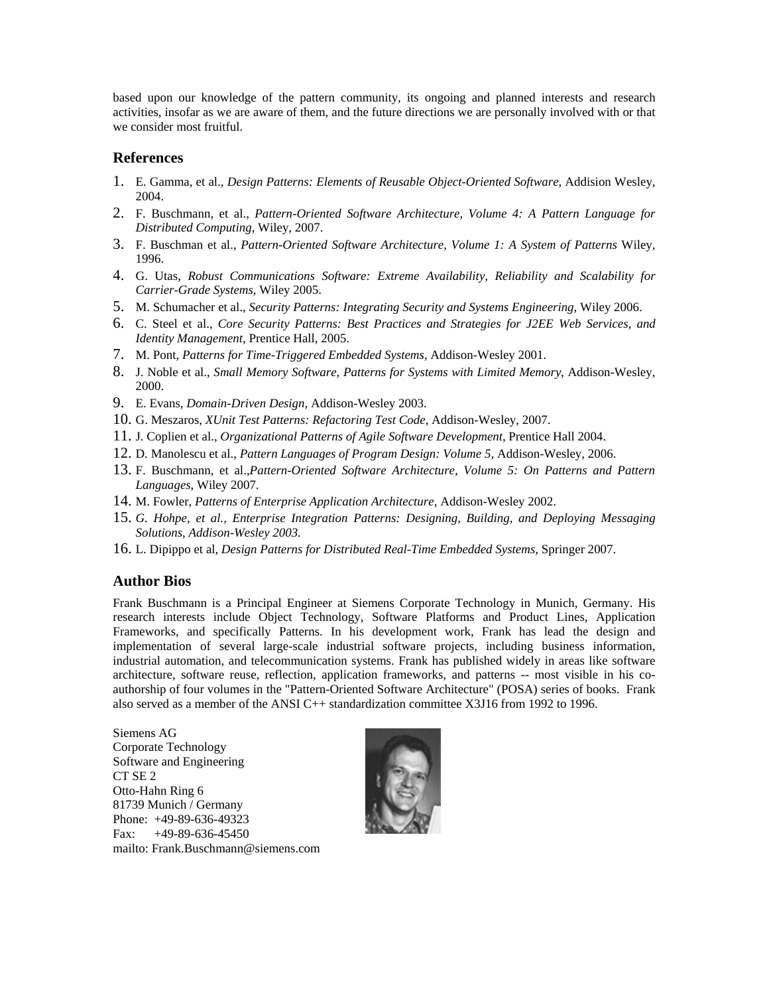based upon our knowledge of the pattern community, its ongoing and planned interests and research activities, insofar as we are aware of them, and the future directions we are personally involved with or that we consider most fruitful.

# **References**

- 1. E. Gamma, et al., *Design Patterns: Elements of Reusable Object-Oriented Software*, Addision Wesley, 2004.
- 2. F. Buschmann, et al., *Pattern-Oriented Software Architecture, Volume 4: A Pattern Language for Distributed Computing*, Wiley, 2007.
- 3. F. Buschman et al., *Pattern-Oriented Software Architecture, Volume 1: A System of Patterns* Wiley, 1996.
- 4. G. Utas, *Robust Communications Software: Extreme Availability, Reliability and Scalability for Carrier-Grade Systems*, Wiley 2005.
- 5. M. Schumacher et al., *Security Patterns: Integrating Security and Systems Engineering*, Wiley 2006.
- 6. C. Steel et al., *Core Security Patterns: Best Practices and Strategies for J2EE Web Services, and Identity Management*, Prentice Hall, 2005.
- 7. M. Pont, *Patterns for Time-Triggered Embedded Systems*, Addison-Wesley 2001.
- 8. J. Noble et al., *Small Memory Software, Patterns for Systems with Limited Memory*, Addison-Wesley, 2000.
- 9. E. Evans, *Domain-Driven Design*, Addison-Wesley 2003.
- 10. G. Meszaros, *XUnit Test Patterns: Refactoring Test Code*, Addison-Wesley, 2007.
- 11. J. Coplien et al., *Organizational Patterns of Agile Software Development*, Prentice Hall 2004.
- 12. D. Manolescu et al., *Pattern Languages of Program Design: Volume 5*, Addison-Wesley, 2006.
- 13. F. Buschmann, et al.,*Pattern-Oriented Software Architecture, Volume 5: On Patterns and Pattern Languages*, Wiley 2007.
- 14. M. Fowler, *Patterns of Enterprise Application Architecture*, Addison-Wesley 2002.
- 15. *G. Hohpe, et al., Enterprise Integration Patterns: Designing, Building, and Deploying Messaging Solutions, Addison-Wesley 2003.*
- 16. L. Dipippo et al, *Design Patterns for Distributed Real-Time Embedded Systems*, Springer 2007.

# **Author Bios**

Frank Buschmann is a Principal Engineer at Siemens Corporate Technology in Munich, Germany. His research interests include Object Technology, Software Platforms and Product Lines, Application Frameworks, and specifically Patterns. In his development work, Frank has lead the design and implementation of several large-scale industrial software projects, including business information, industrial automation, and telecommunication systems. Frank has published widely in areas like software architecture, software reuse, reflection, application frameworks, and patterns -- most visible in his coauthorship of four volumes in the "Pattern-Oriented Software Architecture" (POSA) series of books. Frank also served as a member of the ANSI C++ standardization committee X3J16 from 1992 to 1996.

Siemens AG Corporate Technology Software and Engineering CT SE 2 Otto-Hahn Ring 6 81739 Munich / Germany Phone: +49-89-636-49323 Fax: +49-89-636-45450 mailto: Frank.Buschmann@siemens.com